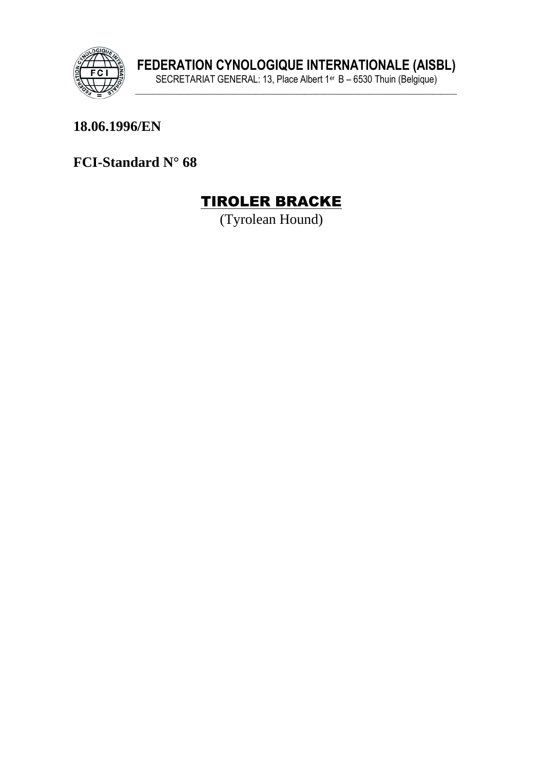

#### 18.06.1996/EN

FCI-Standard N° 68



(Tyrolean Hound)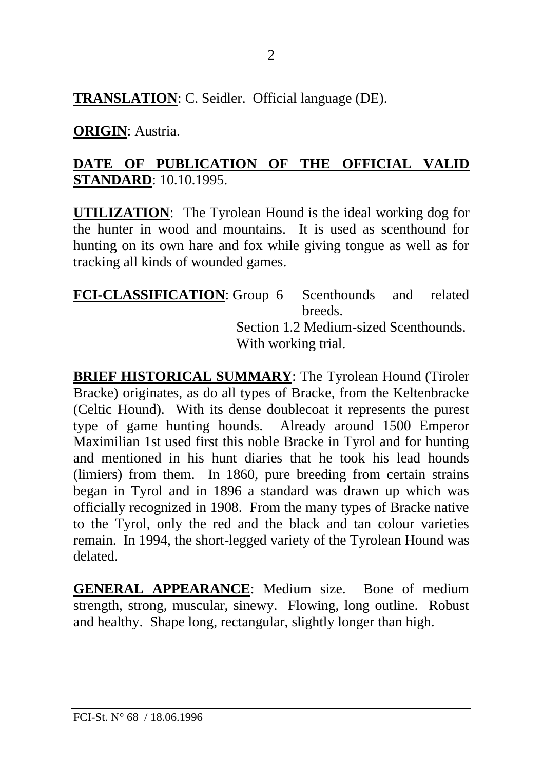**TRANSLATION**: C. Seidler. Official language (DE).

**ORIGIN**: Austria.

#### **DATE OF PUBLICATION OF THE OFFICIAL VALID STANDARD**: 10.10.1995.

**UTILIZATION**: The Tyrolean Hound is the ideal working dog for the hunter in wood and mountains. It is used as scenthound for hunting on its own hare and fox while giving tongue as well as for tracking all kinds of wounded games.

**FCI-CLASSIFICATION**: Group 6 Scenthounds and related breeds. Section 1.2 Medium-sized Scenthounds. With working trial.

**BRIEF HISTORICAL SUMMARY**: The Tyrolean Hound (Tiroler Bracke) originates, as do all types of Bracke, from the Keltenbracke (Celtic Hound). With its dense doublecoat it represents the purest type of game hunting hounds. Already around 1500 Emperor Maximilian 1st used first this noble Bracke in Tyrol and for hunting and mentioned in his hunt diaries that he took his lead hounds (limiers) from them. In 1860, pure breeding from certain strains began in Tyrol and in 1896 a standard was drawn up which was officially recognized in 1908. From the many types of Bracke native to the Tyrol, only the red and the black and tan colour varieties remain. In 1994, the short-legged variety of the Tyrolean Hound was delated.

**GENERAL APPEARANCE**: Medium size. Bone of medium strength, strong, muscular, sinewy. Flowing, long outline. Robust and healthy. Shape long, rectangular, slightly longer than high.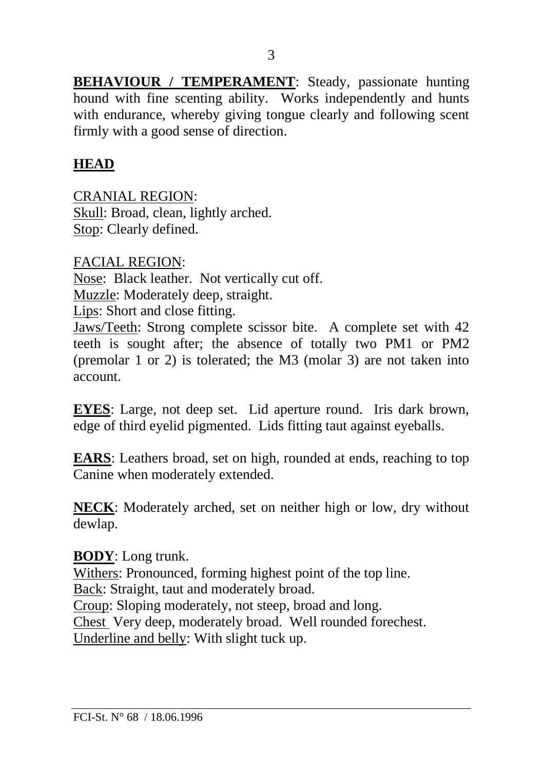**BEHAVIOUR / TEMPERAMENT:** Steady, passionate hunting hound with fine scenting ability. Works independently and hunts with endurance, whereby giving tongue clearly and following scent firmly with a good sense of direction.

### **HEAD**

CRANIAL REGION: Skull: Broad, clean, lightly arched. Stop: Clearly defined.

FACIAL REGION: Nose: Black leather. Not vertically cut off. Muzzle: Moderately deep, straight. Lips: Short and close fitting. Jaws/Teeth: Strong complete scissor bite. A complete set with 42

teeth is sought after; the absence of totally two PM1 or PM2 (premolar 1 or 2) is tolerated; the M3 (molar 3) are not taken into account.

**EYES**: Large, not deep set. Lid aperture round. Iris dark brown, edge of third eyelid pigmented. Lids fitting taut against eyeballs.

**EARS**: Leathers broad, set on high, rounded at ends, reaching to top Canine when moderately extended.

**NECK**: Moderately arched, set on neither high or low, dry without dewlap.

#### **BODY**: Long trunk.

Withers: Pronounced, forming highest point of the top line. Back: Straight, taut and moderately broad.

Croup: Sloping moderately, not steep, broad and long.

Chest Very deep, moderately broad. Well rounded forechest.

Underline and belly: With slight tuck up.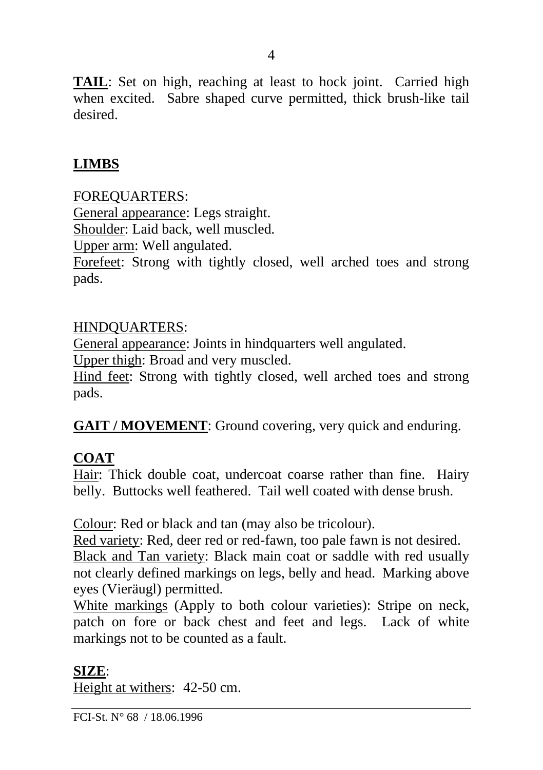**TAIL**: Set on high, reaching at least to hock joint. Carried high when excited. Sabre shaped curve permitted, thick brush-like tail desired.

#### **LIMBS**

FOREQUARTERS:

General appearance: Legs straight.

Shoulder: Laid back, well muscled.

Upper arm: Well angulated.

Forefeet: Strong with tightly closed, well arched toes and strong pads.

#### HINDQUARTERS:

General appearance: Joints in hindquarters well angulated.

Upper thigh: Broad and very muscled.

Hind feet: Strong with tightly closed, well arched toes and strong pads.

**GAIT / MOVEMENT**: Ground covering, very quick and enduring.

#### **COAT**

Hair: Thick double coat, undercoat coarse rather than fine. Hairy belly. Buttocks well feathered. Tail well coated with dense brush.

Colour: Red or black and tan (may also be tricolour).

Red variety: Red, deer red or red-fawn, too pale fawn is not desired. Black and Tan variety: Black main coat or saddle with red usually not clearly defined markings on legs, belly and head. Marking above eyes (Vieräugl) permitted.

White markings (Apply to both colour varieties): Stripe on neck, patch on fore or back chest and feet and legs. Lack of white markings not to be counted as a fault.

#### **SIZE**:

Height at withers: 42-50 cm.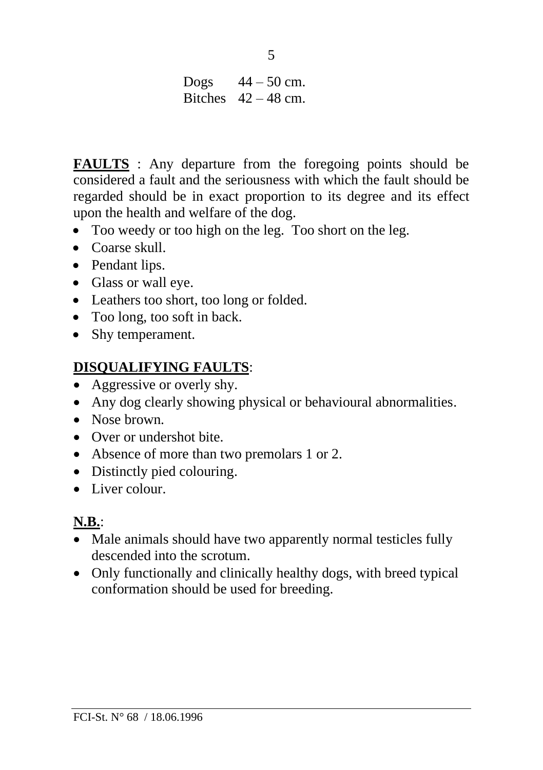Dogs  $44 - 50$  cm. Bitches  $42 - 48$  cm.

**FAULTS** : Any departure from the foregoing points should be considered a fault and the seriousness with which the fault should be regarded should be in exact proportion to its degree and its effect upon the health and welfare of the dog.

- Too weedy or too high on the leg. Too short on the leg.
- Coarse skull
- Pendant lips.
- Glass or wall eye.
- Leathers too short, too long or folded.
- Too long, too soft in back.
- Shy temperament.

## **DISQUALIFYING FAULTS**:

- Aggressive or overly shy.
- Any dog clearly showing physical or behavioural abnormalities.
- Nose brown
- Over or undershot bite.
- Absence of more than two premolars 1 or 2.
- Distinctly pied colouring.
- Liver colour.

# **N.B.**:

- Male animals should have two apparently normal testicles fully descended into the scrotum.
- Only functionally and clinically healthy dogs, with breed typical conformation should be used for breeding.